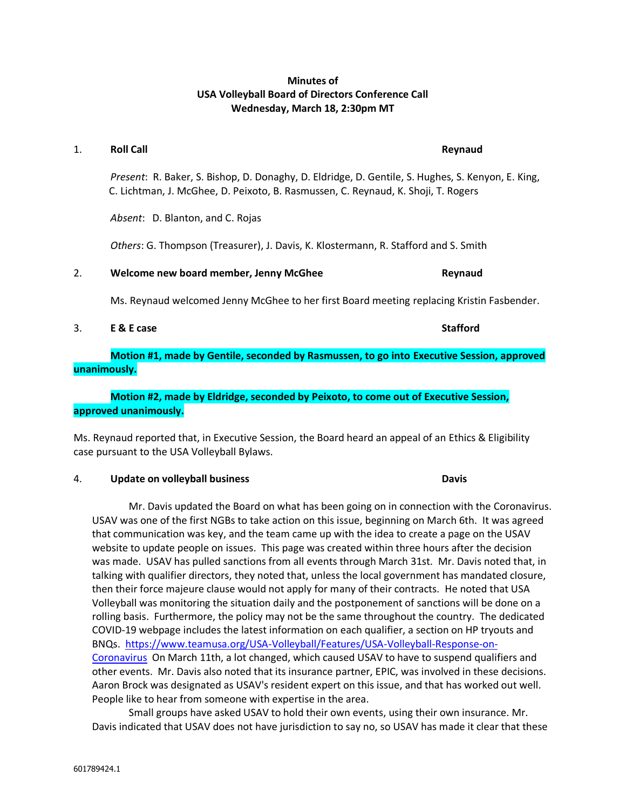# **Minutes of USA Volleyball Board of Directors Conference Call Wednesday, March 18, 2:30pm MT**

| 1. | <b>Roll Call</b>                                                                                                                                                                       | Reynaud         |
|----|----------------------------------------------------------------------------------------------------------------------------------------------------------------------------------------|-----------------|
|    | Present: R. Baker, S. Bishop, D. Donaghy, D. Eldridge, D. Gentile, S. Hughes, S. Kenyon, E. King,<br>C. Lichtman, J. McGhee, D. Peixoto, B. Rasmussen, C. Reynaud, K. Shoji, T. Rogers |                 |
|    | Absent: D. Blanton, and C. Rojas                                                                                                                                                       |                 |
|    | Others: G. Thompson (Treasurer), J. Davis, K. Klostermann, R. Stafford and S. Smith                                                                                                    |                 |
| 2. | Welcome new board member, Jenny McGhee                                                                                                                                                 | Reynaud         |
|    | Ms. Reynaud welcomed Jenny McGhee to her first Board meeting replacing Kristin Fasbender.                                                                                              |                 |
| 3. | E & E case                                                                                                                                                                             | <b>Stafford</b> |

**Motion #1, made by Gentile, seconded by Rasmussen, to go into Executive Session, approved unanimously.**

# **Motion #2, made by Eldridge, seconded by Peixoto, to come out of Executive Session, approved unanimously.**

Ms. Reynaud reported that, in Executive Session, the Board heard an appeal of an Ethics & Eligibility case pursuant to the USA Volleyball Bylaws.

#### 4. **Update on volleyball business Davis**

Mr. Davis updated the Board on what has been going on in connection with the Coronavirus. USAV was one of the first NGBs to take action on this issue, beginning on March 6th. It was agreed that communication was key, and the team came up with the idea to create a page on the USAV website to update people on issues. This page was created within three hours after the decision was made. USAV has pulled sanctions from all events through March 31st. Mr. Davis noted that, in talking with qualifier directors, they noted that, unless the local government has mandated closure, then their force majeure clause would not apply for many of their contracts. He noted that USA Volleyball was monitoring the situation daily and the postponement of sanctions will be done on a rolling basis. Furthermore, the policy may not be the same throughout the country. The dedicated COVID-19 webpage includes the latest information on each qualifier, a section on HP tryouts and BNQs. [https://www.teamusa.org/USA-Volleyball/Features/USA-Volleyball-Response-on-](https://www.teamusa.org/USA-Volleyball/Features/USA-Volleyball-Response-on-Coronavirus)[Coronavirus](https://www.teamusa.org/USA-Volleyball/Features/USA-Volleyball-Response-on-Coronavirus) On March 11th, a lot changed, which caused USAV to have to suspend qualifiers and other events. Mr. Davis also noted that its insurance partner, EPIC, was involved in these decisions. Aaron Brock was designated as USAV's resident expert on this issue, and that has worked out well. People like to hear from someone with expertise in the area.

Small groups have asked USAV to hold their own events, using their own insurance. Mr. Davis indicated that USAV does not have jurisdiction to say no, so USAV has made it clear that these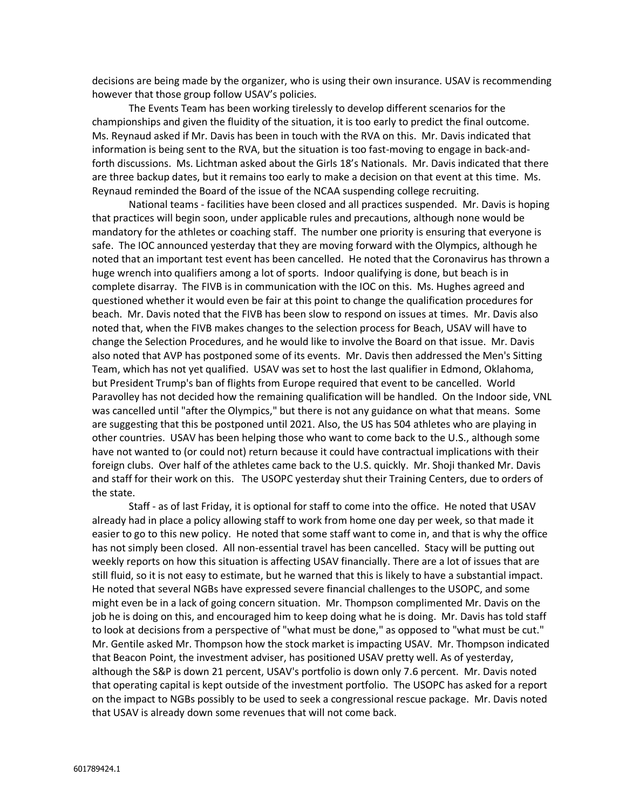decisions are being made by the organizer, who is using their own insurance. USAV is recommending however that those group follow USAV's policies.

The Events Team has been working tirelessly to develop different scenarios for the championships and given the fluidity of the situation, it is too early to predict the final outcome. Ms. Reynaud asked if Mr. Davis has been in touch with the RVA on this. Mr. Davis indicated that information is being sent to the RVA, but the situation is too fast-moving to engage in back-andforth discussions. Ms. Lichtman asked about the Girls 18's Nationals. Mr. Davis indicated that there are three backup dates, but it remains too early to make a decision on that event at this time. Ms. Reynaud reminded the Board of the issue of the NCAA suspending college recruiting.

National teams - facilities have been closed and all practices suspended. Mr. Davis is hoping that practices will begin soon, under applicable rules and precautions, although none would be mandatory for the athletes or coaching staff. The number one priority is ensuring that everyone is safe. The IOC announced yesterday that they are moving forward with the Olympics, although he noted that an important test event has been cancelled. He noted that the Coronavirus has thrown a huge wrench into qualifiers among a lot of sports. Indoor qualifying is done, but beach is in complete disarray. The FIVB is in communication with the IOC on this. Ms. Hughes agreed and questioned whether it would even be fair at this point to change the qualification procedures for beach. Mr. Davis noted that the FIVB has been slow to respond on issues at times. Mr. Davis also noted that, when the FIVB makes changes to the selection process for Beach, USAV will have to change the Selection Procedures, and he would like to involve the Board on that issue. Mr. Davis also noted that AVP has postponed some of its events. Mr. Davis then addressed the Men's Sitting Team, which has not yet qualified. USAV was set to host the last qualifier in Edmond, Oklahoma, but President Trump's ban of flights from Europe required that event to be cancelled. World Paravolley has not decided how the remaining qualification will be handled. On the Indoor side, VNL was cancelled until "after the Olympics," but there is not any guidance on what that means. Some are suggesting that this be postponed until 2021. Also, the US has 504 athletes who are playing in other countries. USAV has been helping those who want to come back to the U.S., although some have not wanted to (or could not) return because it could have contractual implications with their foreign clubs. Over half of the athletes came back to the U.S. quickly. Mr. Shoji thanked Mr. Davis and staff for their work on this. The USOPC yesterday shut their Training Centers, due to orders of the state.

Staff - as of last Friday, it is optional for staff to come into the office. He noted that USAV already had in place a policy allowing staff to work from home one day per week, so that made it easier to go to this new policy. He noted that some staff want to come in, and that is why the office has not simply been closed. All non-essential travel has been cancelled. Stacy will be putting out weekly reports on how this situation is affecting USAV financially. There are a lot of issues that are still fluid, so it is not easy to estimate, but he warned that this is likely to have a substantial impact. He noted that several NGBs have expressed severe financial challenges to the USOPC, and some might even be in a lack of going concern situation. Mr. Thompson complimented Mr. Davis on the job he is doing on this, and encouraged him to keep doing what he is doing. Mr. Davis has told staff to look at decisions from a perspective of "what must be done," as opposed to "what must be cut." Mr. Gentile asked Mr. Thompson how the stock market is impacting USAV. Mr. Thompson indicated that Beacon Point, the investment adviser, has positioned USAV pretty well. As of yesterday, although the S&P is down 21 percent, USAV's portfolio is down only 7.6 percent. Mr. Davis noted that operating capital is kept outside of the investment portfolio. The USOPC has asked for a report on the impact to NGBs possibly to be used to seek a congressional rescue package. Mr. Davis noted that USAV is already down some revenues that will not come back.